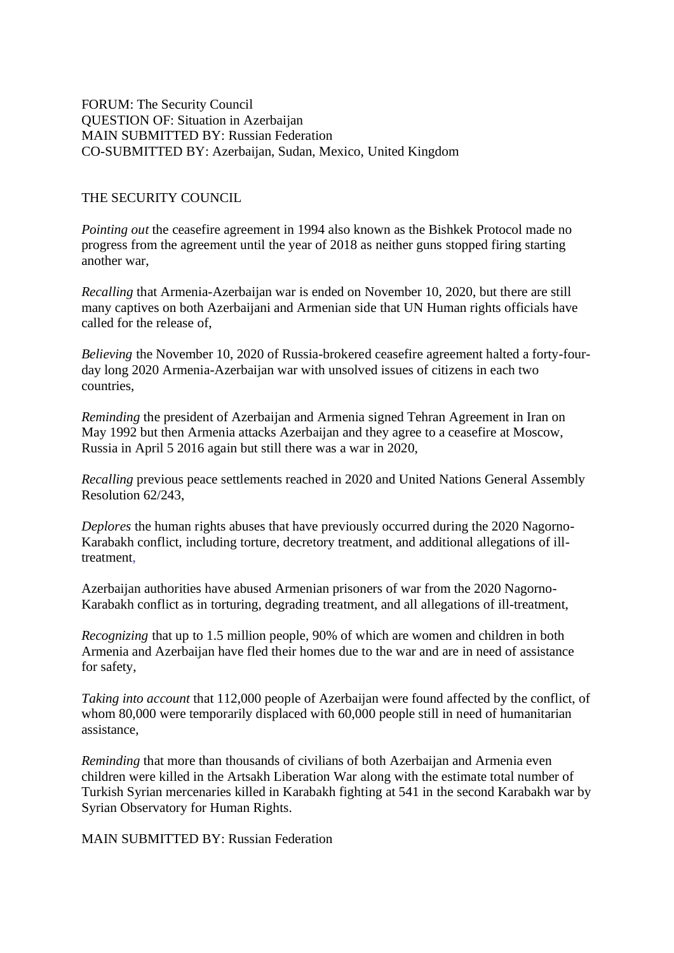FORUM: The Security Council QUESTION OF: Situation in Azerbaijan MAIN SUBMITTED BY: Russian Federation CO-SUBMITTED BY: Azerbaijan, Sudan, Mexico, United Kingdom

### THE SECURITY COUNCIL

*Pointing out* the ceasefire agreement in 1994 also known as the Bishkek Protocol made no progress from the agreement until the year of 2018 as neither guns stopped firing starting another war,

*Recalling* that Armenia-Azerbaijan war is ended on November 10, 2020, but there are still many captives on both Azerbaijani and Armenian side that UN Human rights officials have called for the release of,

*Believing* the November 10, 2020 of Russia-brokered ceasefire agreement halted a forty-fourday long 2020 Armenia-Azerbaijan war with unsolved issues of citizens in each two countries,

*Reminding* the president of Azerbaijan and Armenia signed Tehran Agreement in Iran on May 1992 but then Armenia attacks Azerbaijan and they agree to a ceasefire at Moscow, Russia in April 5 2016 again but still there was a war in 2020,

*Recalling* previous peace settlements reached in 2020 and United Nations General Assembly Resolution 62/243,

*Deplores* the human rights abuses that have previously occurred during the 2020 Nagorno-Karabakh conflict, including torture, decretory treatment, and additional allegations of illtreatment,

Azerbaijan authorities have abused Armenian prisoners of war from the 2020 Nagorno-Karabakh conflict as in torturing, degrading treatment, and all allegations of ill-treatment,

*Recognizing* that up to 1.5 million people, 90% of which are women and children in both Armenia and Azerbaijan have fled their homes due to the war and are in need of assistance for safety,

*Taking into account* that 112,000 people of Azerbaijan were found affected by the conflict, of whom 80,000 were temporarily displaced with 60,000 people still in need of humanitarian assistance,

*Reminding* that more than thousands of civilians of both Azerbaijan and Armenia even children were killed in the Artsakh Liberation War along with the estimate total number of Turkish Syrian mercenaries killed in Karabakh fighting at 541 in the second Karabakh war by Syrian Observatory for Human Rights.

MAIN SUBMITTED BY: Russian Federation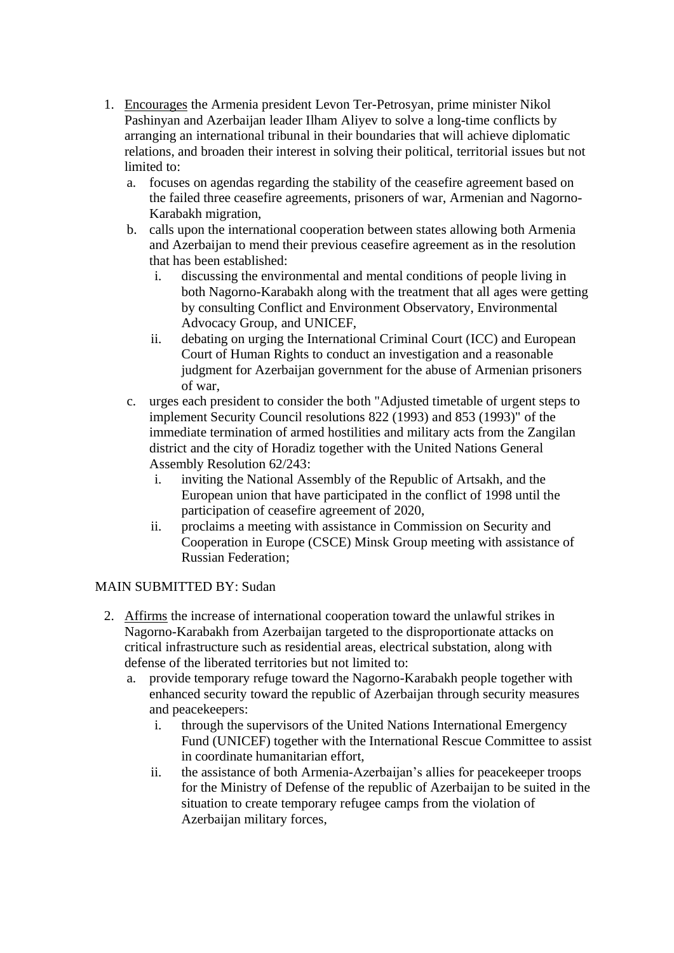- 1. Encourages the Armenia president Levon Ter-Petrosyan, prime minister Nikol Pashinyan and Azerbaijan leader Ilham Aliyev to solve a long-time conflicts by arranging an international tribunal in their boundaries that will achieve diplomatic relations, and broaden their interest in solving their political, territorial issues but not limited to:
	- a. focuses on agendas regarding the stability of the ceasefire agreement based on the failed three ceasefire agreements, prisoners of war, Armenian and Nagorno-Karabakh migration,
	- b. calls upon the international cooperation between states allowing both Armenia and Azerbaijan to mend their previous ceasefire agreement as in the resolution that has been established:
		- i. discussing the environmental and mental conditions of people living in both Nagorno-Karabakh along with the treatment that all ages were getting by consulting Conflict and Environment Observatory, Environmental Advocacy Group, and UNICEF,
		- ii. debating on urging the International Criminal Court (ICC) and European Court of Human Rights to conduct an investigation and a reasonable judgment for Azerbaijan government for the abuse of Armenian prisoners of war,
	- c. urges each president to consider the both "Adjusted timetable of urgent steps to implement Security Council resolutions 822 (1993) and 853 (1993)" of the immediate termination of armed hostilities and military acts from the Zangilan district and the city of Horadiz together with the United Nations General Assembly Resolution 62/243:
		- i. inviting the National Assembly of the Republic of Artsakh, and the European union that have participated in the conflict of 1998 until the participation of ceasefire agreement of 2020,
		- ii. proclaims a meeting with assistance in Commission on Security and Cooperation in Europe (CSCE) Minsk Group meeting with assistance of Russian Federation;

# MAIN SUBMITTED BY: Sudan

- 2. Affirms the increase of international cooperation toward the unlawful strikes in Nagorno-Karabakh from Azerbaijan targeted to the disproportionate attacks on critical infrastructure such as residential areas, electrical substation, along with defense of the liberated territories but not limited to:
	- a. provide temporary refuge toward the Nagorno-Karabakh people together with enhanced security toward the republic of Azerbaijan through security measures and peacekeepers:
		- i. through the supervisors of the United Nations International Emergency Fund (UNICEF) together with the International Rescue Committee to assist in coordinate humanitarian effort,
		- ii. the assistance of both Armenia-Azerbaijan's allies for peacekeeper troops for the Ministry of Defense of the republic of Azerbaijan to be suited in the situation to create temporary refugee camps from the violation of Azerbaijan military forces,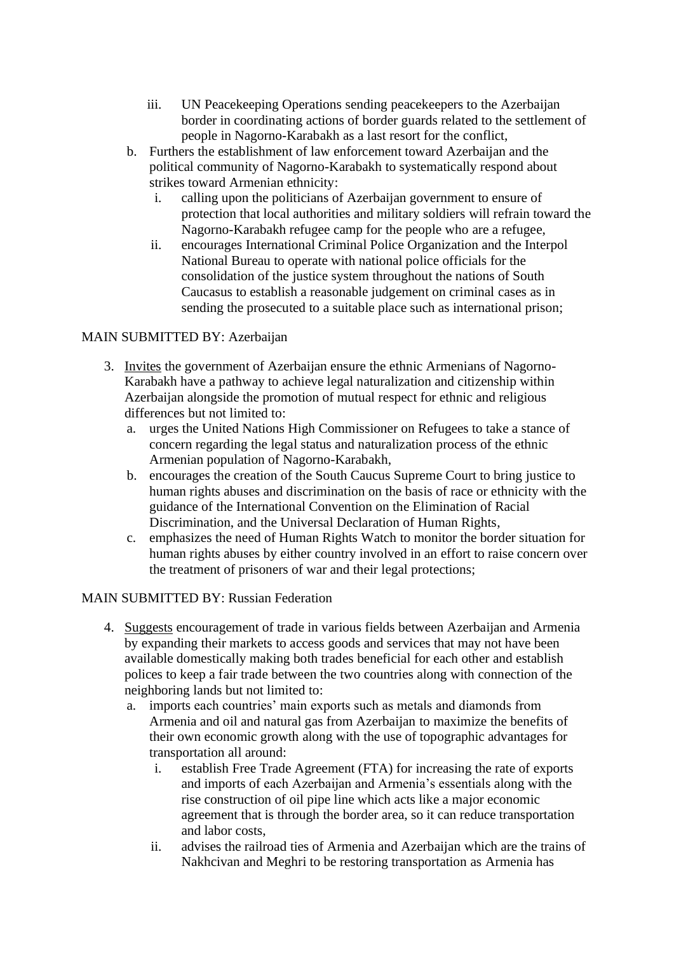- iii. UN Peacekeeping Operations sending peacekeepers to the Azerbaijan border in coordinating actions of border guards related to the settlement of people in Nagorno-Karabakh as a last resort for the conflict,
- b. Furthers the establishment of law enforcement toward Azerbaijan and the political community of Nagorno-Karabakh to systematically respond about strikes toward Armenian ethnicity:
	- i. calling upon the politicians of Azerbaijan government to ensure of protection that local authorities and military soldiers will refrain toward the Nagorno-Karabakh refugee camp for the people who are a refugee,
	- ii. encourages International Criminal Police Organization and the Interpol National Bureau to operate with national police officials for the consolidation of the justice system throughout the nations of South Caucasus to establish a reasonable judgement on criminal cases as in sending the prosecuted to a suitable place such as international prison;

# MAIN SUBMITTED BY: Azerbaijan

- 3. Invites the government of Azerbaijan ensure the ethnic Armenians of Nagorno-Karabakh have a pathway to achieve legal naturalization and citizenship within Azerbaijan alongside the promotion of mutual respect for ethnic and religious differences but not limited to:
	- a. urges the United Nations High Commissioner on Refugees to take a stance of concern regarding the legal status and naturalization process of the ethnic Armenian population of Nagorno-Karabakh,
	- b. encourages the creation of the South Caucus Supreme Court to bring justice to human rights abuses and discrimination on the basis of race or ethnicity with the guidance of the International Convention on the Elimination of Racial Discrimination, and the Universal Declaration of Human Rights,
	- c. emphasizes the need of Human Rights Watch to monitor the border situation for human rights abuses by either country involved in an effort to raise concern over the treatment of prisoners of war and their legal protections;

# MAIN SUBMITTED BY: Russian Federation

- 4. Suggests encouragement of trade in various fields between Azerbaijan and Armenia by expanding their markets to access goods and services that may not have been available domestically making both trades beneficial for each other and establish polices to keep a fair trade between the two countries along with connection of the neighboring lands but not limited to:
	- a. imports each countries' main exports such as metals and diamonds from Armenia and oil and natural gas from Azerbaijan to maximize the benefits of their own economic growth along with the use of topographic advantages for transportation all around:
		- i. establish Free Trade Agreement (FTA) for increasing the rate of exports and imports of each Azerbaijan and Armenia's essentials along with the rise construction of oil pipe line which acts like a major economic agreement that is through the border area, so it can reduce transportation and labor costs,
		- ii. advises the railroad ties of Armenia and Azerbaijan which are the trains of Nakhcivan and Meghri to be restoring transportation as Armenia has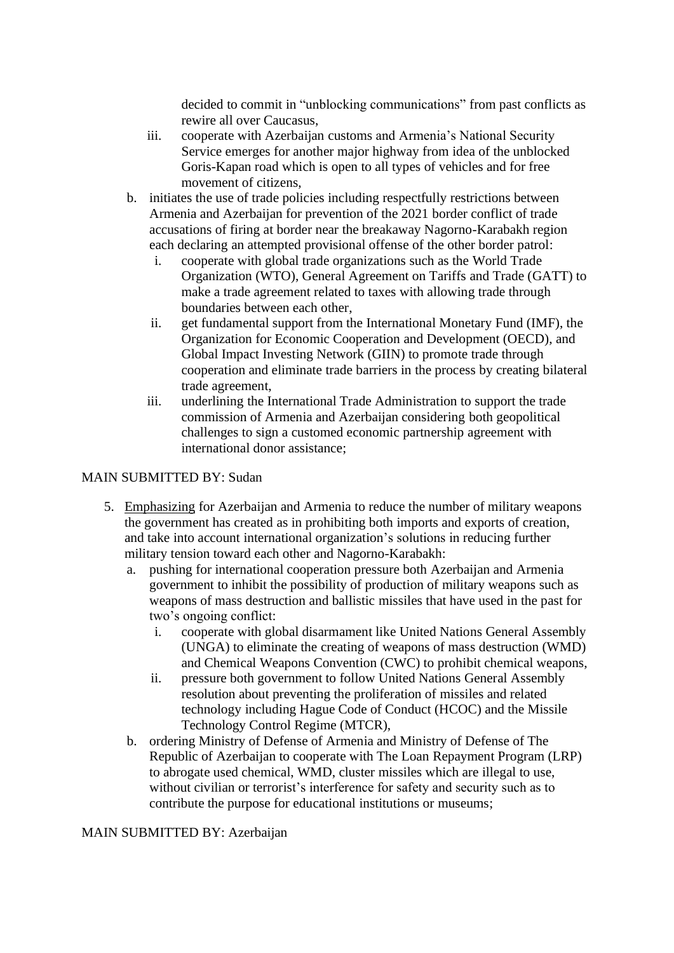decided to commit in "unblocking communications" from past conflicts as rewire all over Caucasus,

- iii. cooperate with Azerbaijan customs and Armenia's National Security Service emerges for another major highway from idea of the unblocked Goris-Kapan road which is open to all types of vehicles and for free movement of citizens,
- b. initiates the use of trade policies including respectfully restrictions between Armenia and Azerbaijan for prevention of the 2021 border conflict of trade accusations of firing at border near the breakaway Nagorno-Karabakh region each declaring an attempted provisional offense of the other border patrol:
	- i. cooperate with global trade organizations such as the World Trade Organization (WTO), General Agreement on Tariffs and Trade (GATT) to make a trade agreement related to taxes with allowing trade through boundaries between each other,
	- ii. get fundamental support from the International Monetary Fund (IMF), the Organization for Economic Cooperation and Development (OECD), and Global Impact Investing Network (GIIN) to promote trade through cooperation and eliminate trade barriers in the process by creating bilateral trade agreement,
	- iii. underlining the International Trade Administration to support the trade commission of Armenia and Azerbaijan considering both geopolitical challenges to sign a customed economic partnership agreement with international donor assistance;

### MAIN SUBMITTED BY: Sudan

- 5. Emphasizing for Azerbaijan and Armenia to reduce the number of military weapons the government has created as in prohibiting both imports and exports of creation, and take into account international organization's solutions in reducing further military tension toward each other and Nagorno-Karabakh:
	- a. pushing for international cooperation pressure both Azerbaijan and Armenia government to inhibit the possibility of production of military weapons such as weapons of mass destruction and ballistic missiles that have used in the past for two's ongoing conflict:
		- i. cooperate with global disarmament like United Nations General Assembly (UNGA) to eliminate the creating of weapons of mass destruction (WMD) and Chemical Weapons Convention (CWC) to prohibit chemical weapons,
		- ii. pressure both government to follow United Nations General Assembly resolution about preventing the proliferation of missiles and related technology including Hague Code of Conduct (HCOC) and the Missile Technology Control Regime (MTCR),
	- b. ordering Ministry of Defense of Armenia and Ministry of Defense of The Republic of Azerbaijan to cooperate with The Loan Repayment Program (LRP) to abrogate used chemical, WMD, cluster missiles which are illegal to use, without civilian or terrorist's interference for safety and security such as to contribute the purpose for educational institutions or museums;

### MAIN SUBMITTED BY: Azerbaijan